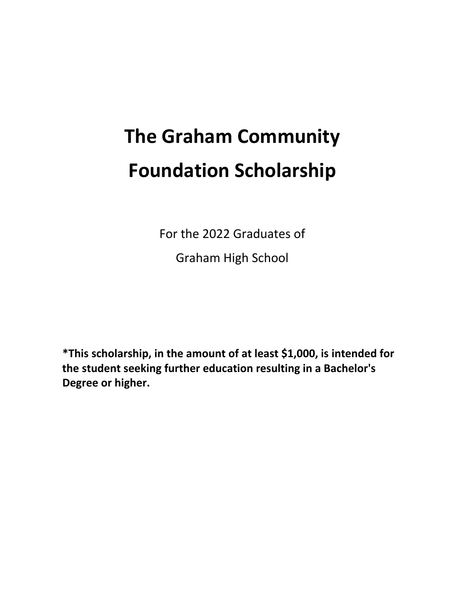# **The Graham Community Foundation Scholarship**

For the 2022 Graduates of

Graham High School

**\*This scholarship, in the amount of at least \$1,000, is intended for the student seeking further education resulting in a Bachelor's Degree or higher.**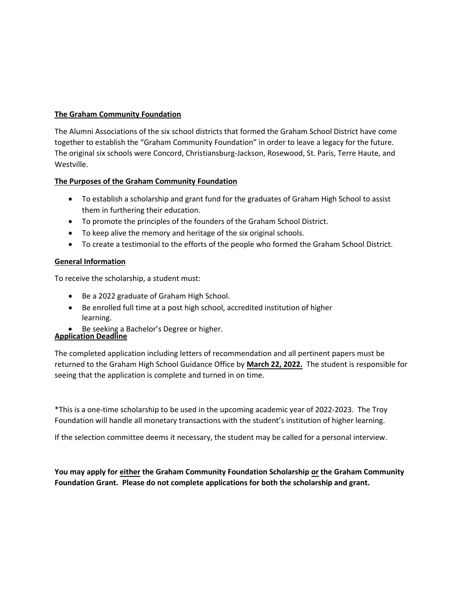#### **The Graham Community Foundation**

The Alumni Associations of the six school districts that formed the Graham School District have come together to establish the "Graham Community Foundation" in order to leave a legacy for the future. The original six schools were Concord, Christiansburg-Jackson, Rosewood, St. Paris, Terre Haute, and Westville.

#### **The Purposes of the Graham Community Foundation**

- To establish a scholarship and grant fund for the graduates of Graham High School to assist them in furthering their education.
- To promote the principles of the founders of the Graham School District.
- To keep alive the memory and heritage of the six original schools.
- To create a testimonial to the efforts of the people who formed the Graham School District.

## **General Information**

To receive the scholarship, a student must:

- Be a 2022 graduate of Graham High School.
- Be enrolled full time at a post high school, accredited institution of higher learning.
- Be seeking a Bachelor's Degree or higher.

## **Application Deadline**

The completed application including letters of recommendation and all pertinent papers must be returned to the Graham High School Guidance Office by **March 22, 2022.** The student is responsible for seeing that the application is complete and turned in on time.

\*This is a one-time scholarship to be used in the upcoming academic year of 2022-2023. The Troy Foundation will handle all monetary transactions with the student's institution of higher learning.

If the selection committee deems it necessary, the student may be called for a personal interview.

**You may apply for either the Graham Community Foundation Scholarship or the Graham Community Foundation Grant. Please do not complete applications for both the scholarship and grant.**